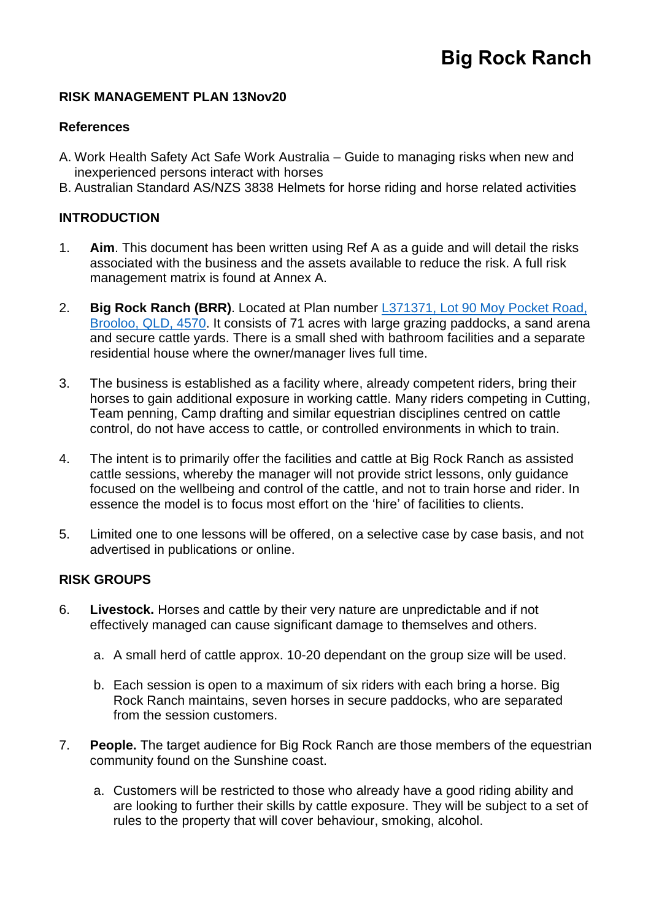## **RISK MANAGEMENT PLAN 13Nov20**

### **References**

- A. Work Health Safety Act Safe Work Australia Guide to managing risks when new and inexperienced persons interact with horses
- B. Australian Standard AS/NZS 3838 Helmets for horse riding and horse related activities

# **INTRODUCTION**

- 1. **Aim**. This document has been written using Ref A as a guide and will detail the risks associated with the business and the assets available to reduce the risk. A full risk management matrix is found at Annex A.
- 2. **Big Rock Ranch (BRR)**. Located at Plan number L371371, [Lot 90 Moy Pocket Road,](https://goo.gl/maps/siJUHKVtEkk3qXAB6) [Brooloo, QLD, 4570.](https://goo.gl/maps/siJUHKVtEkk3qXAB6) It consists of 71 acres with large grazing paddocks, a sand arena and secure cattle yards. There is a small shed with bathroom facilities and a separate residential house where the owner/manager lives full time.
- 3. The business is established as a facility where, already competent riders, bring their horses to gain additional exposure in working cattle. Many riders competing in Cutting, Team penning, Camp drafting and similar equestrian disciplines centred on cattle control, do not have access to cattle, or controlled environments in which to train.
- 4. The intent is to primarily offer the facilities and cattle at Big Rock Ranch as assisted cattle sessions, whereby the manager will not provide strict lessons, only guidance focused on the wellbeing and control of the cattle, and not to train horse and rider. In essence the model is to focus most effort on the 'hire' of facilities to clients.
- 5. Limited one to one lessons will be offered, on a selective case by case basis, and not advertised in publications or online.

### **RISK GROUPS**

- 6. **Livestock.** Horses and cattle by their very nature are unpredictable and if not effectively managed can cause significant damage to themselves and others.
	- a. A small herd of cattle approx. 10-20 dependant on the group size will be used.
	- b. Each session is open to a maximum of six riders with each bring a horse. Big Rock Ranch maintains, seven horses in secure paddocks, who are separated from the session customers.
- 7. **People.** The target audience for Big Rock Ranch are those members of the equestrian community found on the Sunshine coast.
	- a. Customers will be restricted to those who already have a good riding ability and are looking to further their skills by cattle exposure. They will be subject to a set of rules to the property that will cover behaviour, smoking, alcohol.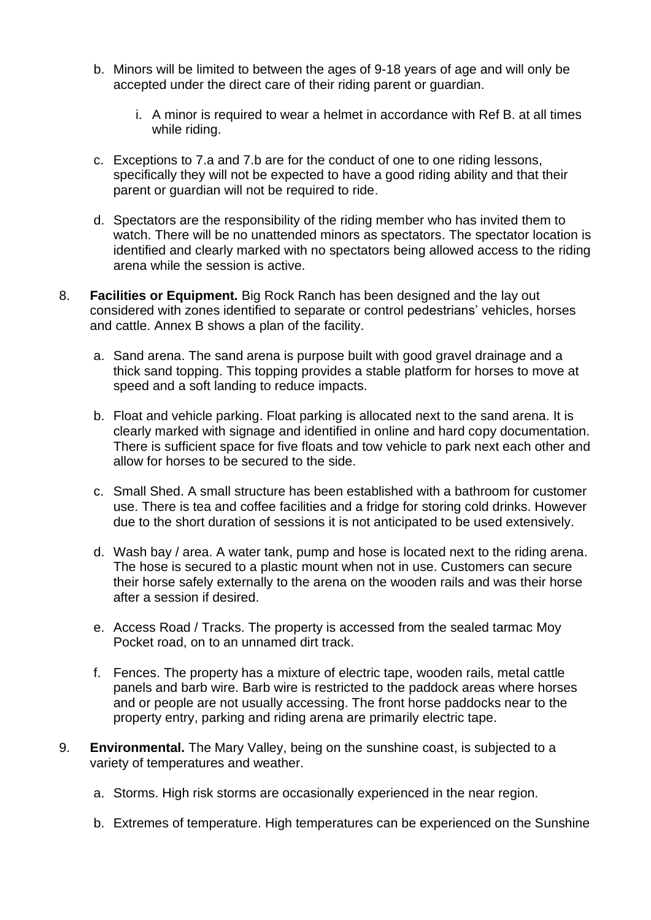- b. Minors will be limited to between the ages of 9-18 years of age and will only be accepted under the direct care of their riding parent or guardian.
	- i. A minor is required to wear a helmet in accordance with Ref B. at all times while riding.
- c. Exceptions to 7.a and 7.b are for the conduct of one to one riding lessons, specifically they will not be expected to have a good riding ability and that their parent or guardian will not be required to ride.
- d. Spectators are the responsibility of the riding member who has invited them to watch. There will be no unattended minors as spectators. The spectator location is identified and clearly marked with no spectators being allowed access to the riding arena while the session is active.
- 8. **Facilities or Equipment.** Big Rock Ranch has been designed and the lay out considered with zones identified to separate or control pedestrians' vehicles, horses and cattle. Annex B shows a plan of the facility.
	- a. Sand arena. The sand arena is purpose built with good gravel drainage and a thick sand topping. This topping provides a stable platform for horses to move at speed and a soft landing to reduce impacts.
	- b. Float and vehicle parking. Float parking is allocated next to the sand arena. It is clearly marked with signage and identified in online and hard copy documentation. There is sufficient space for five floats and tow vehicle to park next each other and allow for horses to be secured to the side.
	- c. Small Shed. A small structure has been established with a bathroom for customer use. There is tea and coffee facilities and a fridge for storing cold drinks. However due to the short duration of sessions it is not anticipated to be used extensively.
	- d. Wash bay / area. A water tank, pump and hose is located next to the riding arena. The hose is secured to a plastic mount when not in use. Customers can secure their horse safely externally to the arena on the wooden rails and was their horse after a session if desired.
	- e. Access Road / Tracks. The property is accessed from the sealed tarmac Moy Pocket road, on to an unnamed dirt track.
	- f. Fences. The property has a mixture of electric tape, wooden rails, metal cattle panels and barb wire. Barb wire is restricted to the paddock areas where horses and or people are not usually accessing. The front horse paddocks near to the property entry, parking and riding arena are primarily electric tape.
- 9. **Environmental.** The Mary Valley, being on the sunshine coast, is subjected to a variety of temperatures and weather.
	- a. Storms. High risk storms are occasionally experienced in the near region.
	- b. Extremes of temperature. High temperatures can be experienced on the Sunshine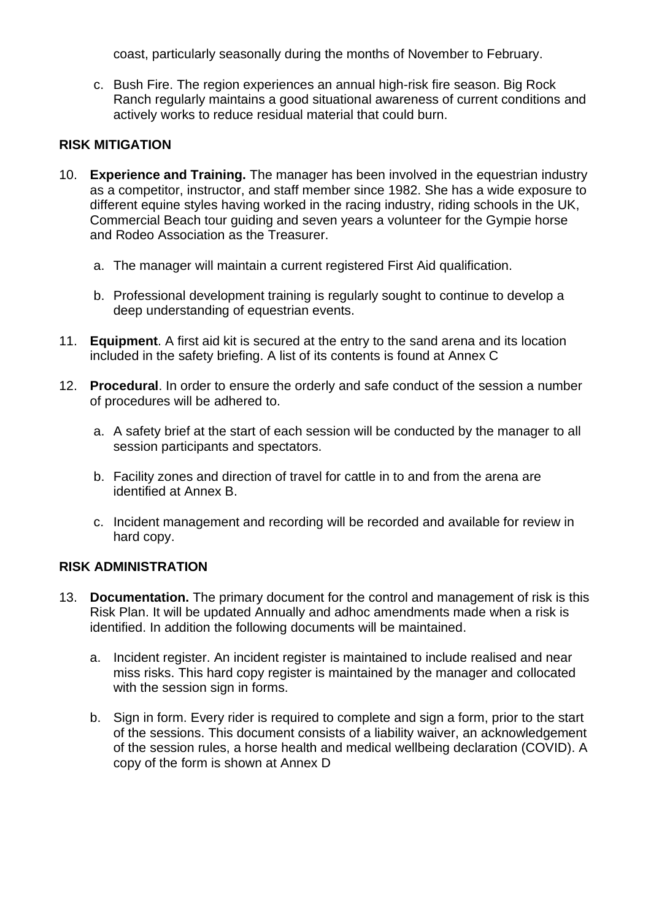coast, particularly seasonally during the months of November to February.

c. Bush Fire. The region experiences an annual high-risk fire season. Big Rock Ranch regularly maintains a good situational awareness of current conditions and actively works to reduce residual material that could burn.

## **RISK MITIGATION**

- 10. **Experience and Training.** The manager has been involved in the equestrian industry as a competitor, instructor, and staff member since 1982. She has a wide exposure to different equine styles having worked in the racing industry, riding schools in the UK, Commercial Beach tour guiding and seven years a volunteer for the Gympie horse and Rodeo Association as the Treasurer.
	- a. The manager will maintain a current registered First Aid qualification.
	- b. Professional development training is regularly sought to continue to develop a deep understanding of equestrian events.
- 11. **Equipment**. A first aid kit is secured at the entry to the sand arena and its location included in the safety briefing. A list of its contents is found at Annex C
- 12. **Procedural**. In order to ensure the orderly and safe conduct of the session a number of procedures will be adhered to.
	- a. A safety brief at the start of each session will be conducted by the manager to all session participants and spectators.
	- b. Facility zones and direction of travel for cattle in to and from the arena are identified at Annex B.
	- c. Incident management and recording will be recorded and available for review in hard copy.

### **RISK ADMINISTRATION**

- 13. **Documentation.** The primary document for the control and management of risk is this Risk Plan. It will be updated Annually and adhoc amendments made when a risk is identified. In addition the following documents will be maintained.
	- a. Incident register. An incident register is maintained to include realised and near miss risks. This hard copy register is maintained by the manager and collocated with the session sign in forms.
	- b. Sign in form. Every rider is required to complete and sign a form, prior to the start of the sessions. This document consists of a liability waiver, an acknowledgement of the session rules, a horse health and medical wellbeing declaration (COVID). A copy of the form is shown at Annex D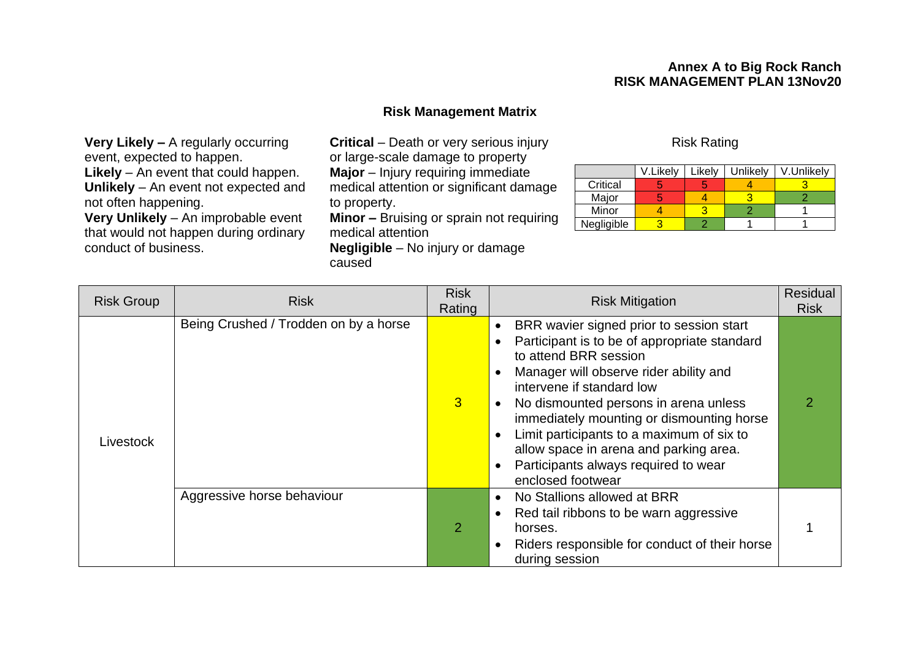### **Annex A to Big Rock Ranch RISK MANAGEMENT PLAN 13Nov20**

### **Risk Management Matrix**

**Very Likely –** A regularly occurring event, expected to happen. **Likely** – An event that could happen.

**Unlikely** – An event not expected and not often happening.

**Very Unlikely** – An improbable event that would not happen during ordinary conduct of business.

**Critical** – Death or very serious injury or large-scale damage to property **Major** – Injury requiring immediate medical attention or significant damage

to property.

**Minor –** Bruising or sprain not requiring medical attention **Negligible** – No injury or damage

caused

### Risk Rating

|            | V.Likely | ∟ikely | Unlikely | V.Unlikely |
|------------|----------|--------|----------|------------|
| Critical   |          |        |          |            |
| Major      |          |        |          |            |
| Minor      |          |        |          |            |
| Negligible |          |        |          |            |

| <b>Risk Group</b> | <b>Risk</b>                           | <b>Risk</b><br>Rating | <b>Risk Mitigation</b>                                                                                                                                                                                                                                                                                                                                                                                                             | Residual<br><b>Risk</b> |
|-------------------|---------------------------------------|-----------------------|------------------------------------------------------------------------------------------------------------------------------------------------------------------------------------------------------------------------------------------------------------------------------------------------------------------------------------------------------------------------------------------------------------------------------------|-------------------------|
| Livestock         | Being Crushed / Trodden on by a horse | 3                     | BRR wavier signed prior to session start<br>Participant is to be of appropriate standard<br>to attend BRR session<br>Manager will observe rider ability and<br>intervene if standard low<br>No dismounted persons in arena unless<br>immediately mounting or dismounting horse<br>Limit participants to a maximum of six to<br>allow space in arena and parking area.<br>Participants always required to wear<br>enclosed footwear |                         |
|                   | Aggressive horse behaviour            | 2                     | No Stallions allowed at BRR<br>Red tail ribbons to be warn aggressive<br>horses.<br>Riders responsible for conduct of their horse<br>during session                                                                                                                                                                                                                                                                                |                         |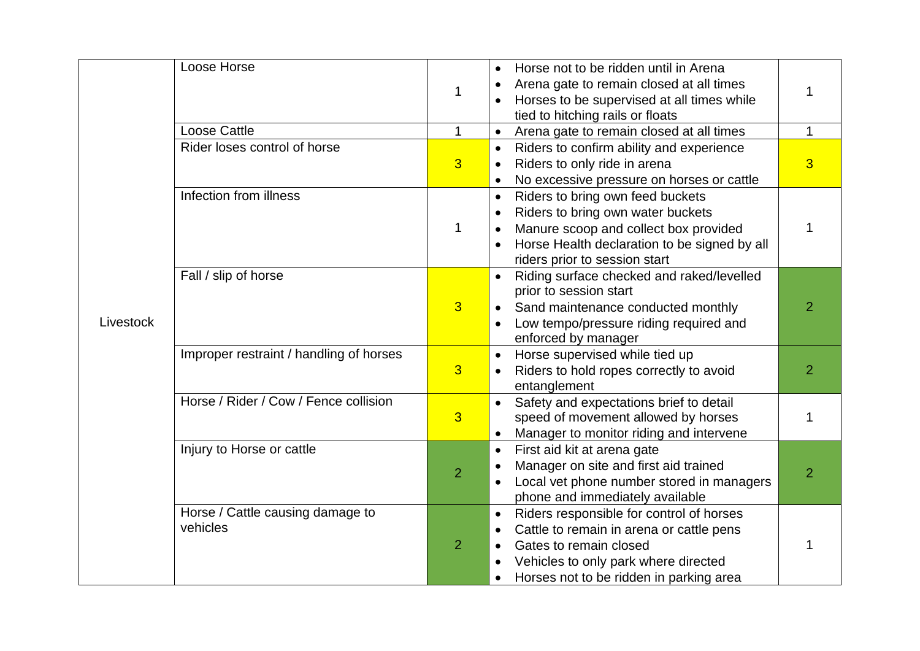|           | Loose Horse                                  | 1              | Horse not to be ridden until in Arena<br>Arena gate to remain closed at all times<br>Horses to be supervised at all times while<br>tied to hitching rails or floats                                            | 1              |
|-----------|----------------------------------------------|----------------|----------------------------------------------------------------------------------------------------------------------------------------------------------------------------------------------------------------|----------------|
|           | <b>Loose Cattle</b>                          | $\mathbf 1$    | Arena gate to remain closed at all times<br>$\bullet$                                                                                                                                                          | 1              |
| Livestock | Rider loses control of horse                 | $\overline{3}$ | Riders to confirm ability and experience<br>$\bullet$<br>Riders to only ride in arena<br>No excessive pressure on horses or cattle                                                                             | $\overline{3}$ |
|           | Infection from illness                       | $\mathbf 1$    | Riders to bring own feed buckets<br>$\bullet$<br>Riders to bring own water buckets<br>Manure scoop and collect box provided<br>Horse Health declaration to be signed by all<br>riders prior to session start   | 1              |
|           | Fall / slip of horse                         | $\overline{3}$ | Riding surface checked and raked/levelled<br>prior to session start<br>Sand maintenance conducted monthly<br>Low tempo/pressure riding required and<br>enforced by manager                                     | $\overline{2}$ |
|           | Improper restraint / handling of horses      | $\overline{3}$ | Horse supervised while tied up<br>$\bullet$<br>Riders to hold ropes correctly to avoid<br>entanglement                                                                                                         | $\overline{2}$ |
|           | Horse / Rider / Cow / Fence collision        | $\overline{3}$ | Safety and expectations brief to detail<br>speed of movement allowed by horses<br>Manager to monitor riding and intervene                                                                                      | 1              |
|           | Injury to Horse or cattle                    | $\overline{2}$ | First aid kit at arena gate<br>$\bullet$<br>Manager on site and first aid trained<br>Local vet phone number stored in managers<br>phone and immediately available                                              | $\overline{2}$ |
|           | Horse / Cattle causing damage to<br>vehicles | $\overline{2}$ | Riders responsible for control of horses<br>$\bullet$<br>Cattle to remain in arena or cattle pens<br>Gates to remain closed<br>Vehicles to only park where directed<br>Horses not to be ridden in parking area | 1              |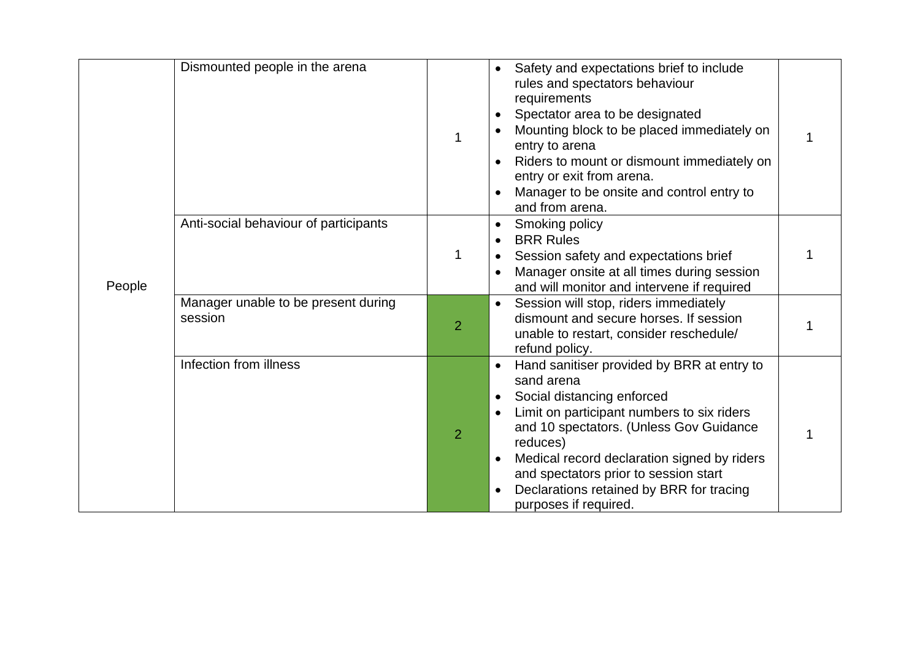| People | Dismounted people in the arena                 |                | Safety and expectations brief to include<br>$\bullet$<br>rules and spectators behaviour<br>requirements<br>Spectator area to be designated<br>Mounting block to be placed immediately on<br>entry to arena<br>Riders to mount or dismount immediately on<br>entry or exit from arena.<br>Manager to be onsite and control entry to<br>and from arena.    |  |
|--------|------------------------------------------------|----------------|----------------------------------------------------------------------------------------------------------------------------------------------------------------------------------------------------------------------------------------------------------------------------------------------------------------------------------------------------------|--|
|        | Anti-social behaviour of participants          | 1              | Smoking policy<br>$\bullet$<br><b>BRR Rules</b><br>Session safety and expectations brief<br>Manager onsite at all times during session<br>and will monitor and intervene if required                                                                                                                                                                     |  |
|        | Manager unable to be present during<br>session | $\overline{2}$ | Session will stop, riders immediately<br>$\bullet$<br>dismount and secure horses. If session<br>unable to restart, consider reschedule/<br>refund policy.                                                                                                                                                                                                |  |
|        | Infection from illness                         | $\overline{2}$ | Hand sanitiser provided by BRR at entry to<br>sand arena<br>Social distancing enforced<br>Limit on participant numbers to six riders<br>and 10 spectators. (Unless Gov Guidance<br>reduces)<br>Medical record declaration signed by riders<br>and spectators prior to session start<br>Declarations retained by BRR for tracing<br>purposes if required. |  |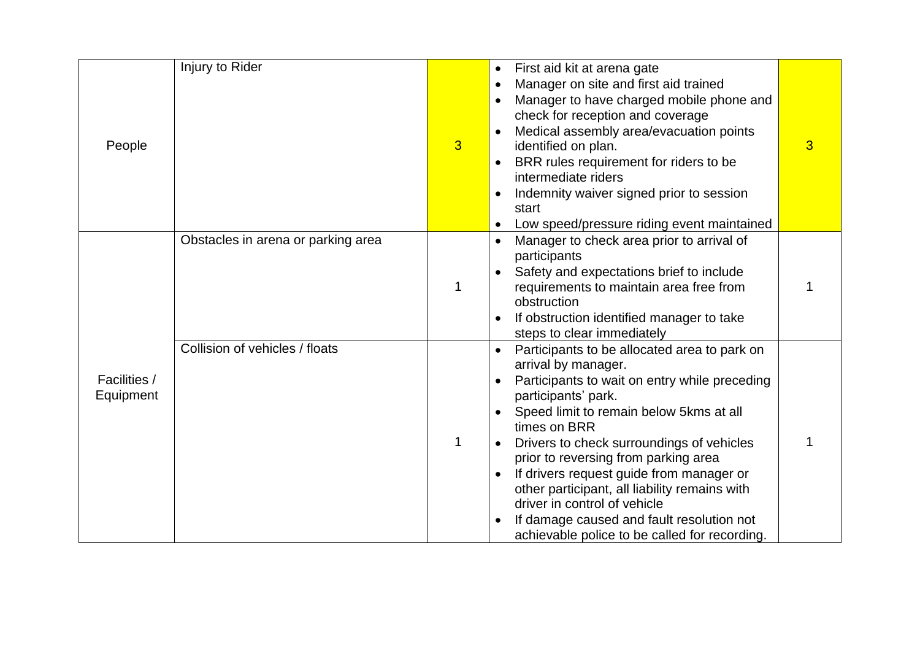| People                           | Injury to Rider                    | $\overline{3}$ | First aid kit at arena gate<br>Manager on site and first aid trained<br>Manager to have charged mobile phone and<br>check for reception and coverage<br>Medical assembly area/evacuation points<br>identified on plan.<br>BRR rules requirement for riders to be<br>intermediate riders<br>Indemnity waiver signed prior to session<br>start<br>Low speed/pressure riding event maintained                                                                                                                             | 3 |
|----------------------------------|------------------------------------|----------------|------------------------------------------------------------------------------------------------------------------------------------------------------------------------------------------------------------------------------------------------------------------------------------------------------------------------------------------------------------------------------------------------------------------------------------------------------------------------------------------------------------------------|---|
|                                  | Obstacles in arena or parking area |                | Manager to check area prior to arrival of<br>participants<br>Safety and expectations brief to include<br>requirements to maintain area free from<br>obstruction<br>If obstruction identified manager to take<br>steps to clear immediately                                                                                                                                                                                                                                                                             |   |
| <b>Facilities /</b><br>Equipment | Collision of vehicles / floats     |                | Participants to be allocated area to park on<br>arrival by manager.<br>Participants to wait on entry while preceding<br>participants' park.<br>Speed limit to remain below 5kms at all<br>times on BRR<br>Drivers to check surroundings of vehicles<br>prior to reversing from parking area<br>If drivers request guide from manager or<br>other participant, all liability remains with<br>driver in control of vehicle<br>If damage caused and fault resolution not<br>achievable police to be called for recording. |   |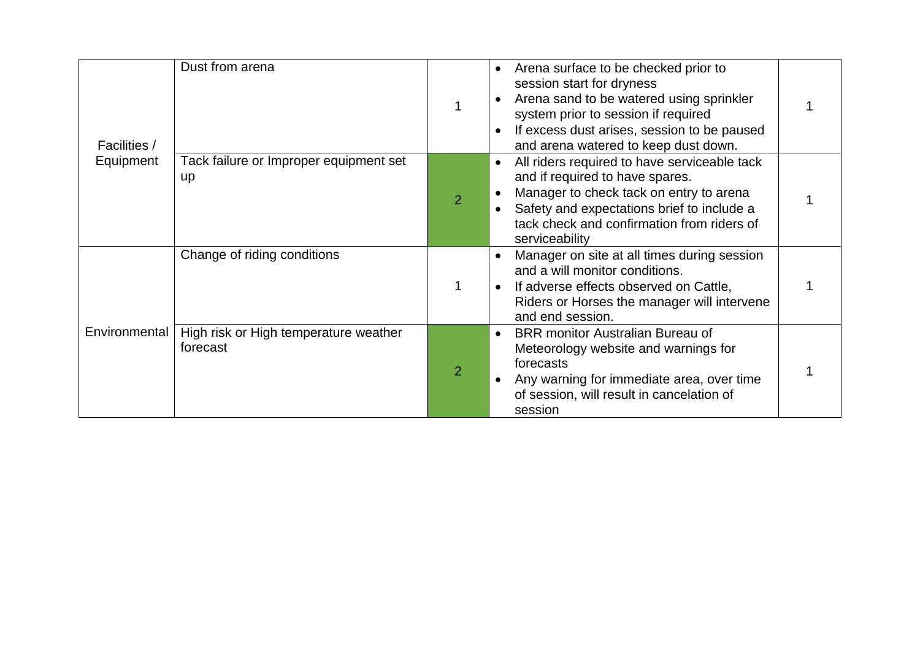| <b>Facilities /</b><br>Equipment | Dust from arena                                   |                | Arena surface to be checked prior to<br>session start for dryness<br>Arena sand to be watered using sprinkler<br>system prior to session if required<br>If excess dust arises, session to be paused<br>and arena watered to keep dust down. |  |
|----------------------------------|---------------------------------------------------|----------------|---------------------------------------------------------------------------------------------------------------------------------------------------------------------------------------------------------------------------------------------|--|
|                                  | Tack failure or Improper equipment set<br>up      | $\overline{2}$ | All riders required to have serviceable tack<br>and if required to have spares.<br>Manager to check tack on entry to arena<br>Safety and expectations brief to include a<br>tack check and confirmation from riders of<br>serviceability    |  |
|                                  | Change of riding conditions                       |                | Manager on site at all times during session<br>and a will monitor conditions.<br>If adverse effects observed on Cattle,<br>Riders or Horses the manager will intervene<br>and end session.                                                  |  |
| Environmental                    | High risk or High temperature weather<br>forecast | $\overline{2}$ | <b>BRR</b> monitor Australian Bureau of<br>Meteorology website and warnings for<br>forecasts<br>Any warning for immediate area, over time<br>of session, will result in cancelation of<br>session                                           |  |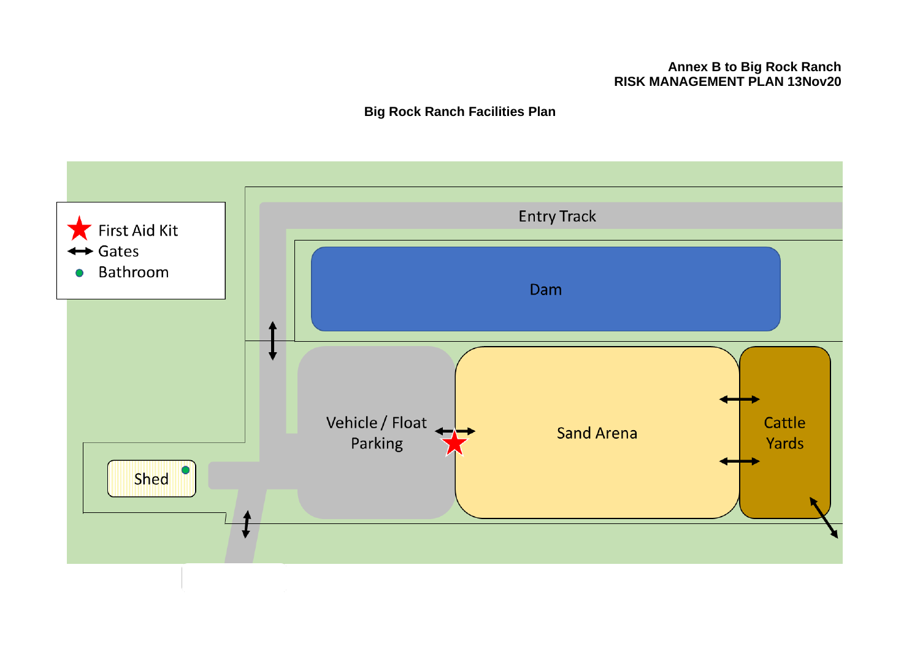### **Annex B to Big Rock Ranch RISK MANAGEMENT PLAN 13Nov20**

**Big Rock Ranch Facilities Plan**

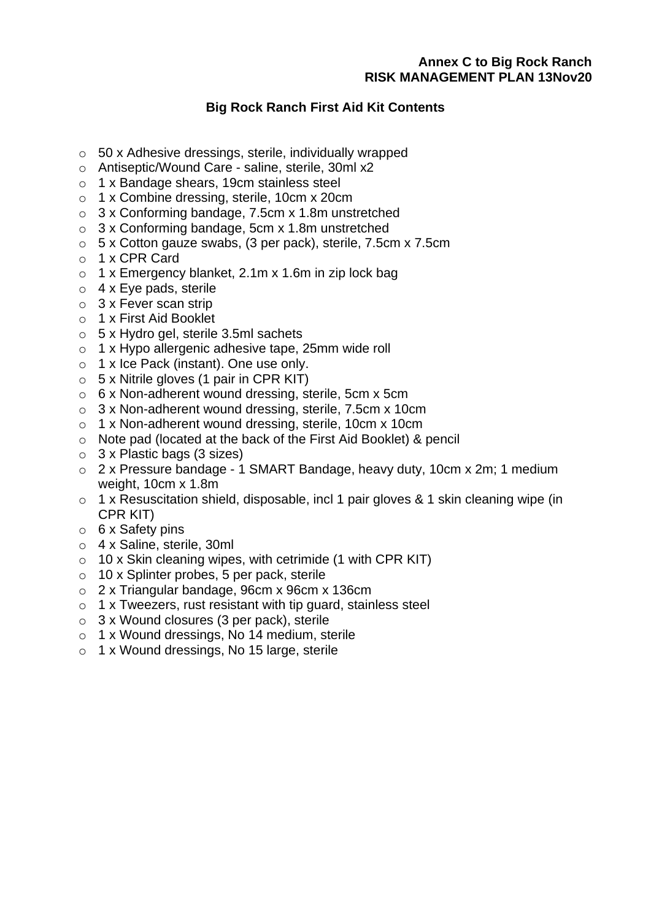## **Annex C to Big Rock Ranch RISK MANAGEMENT PLAN 13Nov20**

# **Big Rock Ranch First Aid Kit Contents**

- o 50 x Adhesive dressings, sterile, individually wrapped
- o Antiseptic/Wound Care saline, sterile, 30ml x2
- o 1 x Bandage shears, 19cm stainless steel
- o 1 x Combine dressing, sterile, 10cm x 20cm
- o 3 x Conforming bandage, 7.5cm x 1.8m unstretched
- o 3 x Conforming bandage, 5cm x 1.8m unstretched
- o 5 x Cotton gauze swabs, (3 per pack), sterile, 7.5cm x 7.5cm
- o 1 x CPR Card
- $\circ$  1 x Emergency blanket, 2.1m x 1.6m in zip lock bag
- o 4 x Eye pads, sterile
- o 3 x Fever scan strip
- o 1 x First Aid Booklet
- o 5 x Hydro gel, sterile 3.5ml sachets
- o 1 x Hypo allergenic adhesive tape, 25mm wide roll
- $\circ$  1 x Ice Pack (instant). One use only.
- $\circ$  5 x Nitrile gloves (1 pair in CPR KIT)
- o 6 x Non-adherent wound dressing, sterile, 5cm x 5cm
- o 3 x Non-adherent wound dressing, sterile, 7.5cm x 10cm
- o 1 x Non-adherent wound dressing, sterile, 10cm x 10cm
- o Note pad (located at the back of the First Aid Booklet) & pencil
- $\circ$  3 x Plastic bags (3 sizes)
- o 2 x Pressure bandage 1 SMART Bandage, heavy duty, 10cm x 2m; 1 medium weight, 10cm x 1.8m
- o 1 x Resuscitation shield, disposable, incl 1 pair gloves & 1 skin cleaning wipe (in CPR KIT)
- o 6 x Safety pins
- o 4 x Saline, sterile, 30ml
- $\circ$  10 x Skin cleaning wipes, with cetrimide (1 with CPR KIT)
- o 10 x Splinter probes, 5 per pack, sterile
- o 2 x Triangular bandage, 96cm x 96cm x 136cm
- o 1 x Tweezers, rust resistant with tip guard, stainless steel
- o 3 x Wound closures (3 per pack), sterile
- o 1 x Wound dressings, No 14 medium, sterile
- o 1 x Wound dressings, No 15 large, sterile